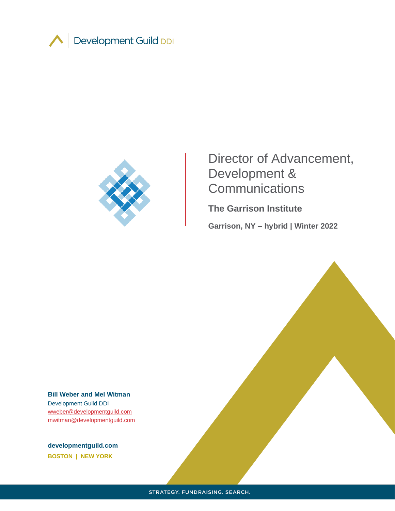



# Director of Advancement, Development & **Communications**

**The Garrison Institute Garrison, NY – hybrid | Winter 2022**

**Bill Weber and Mel Witman** Development Guild DDI [wweber@developmentguild.com](mailto:wweber@developmentguild.com) [mwitman@developmentguild.com](mailto:mwitman@developmentguild.com)

**developmentguild.com BOSTON | NEW YORK**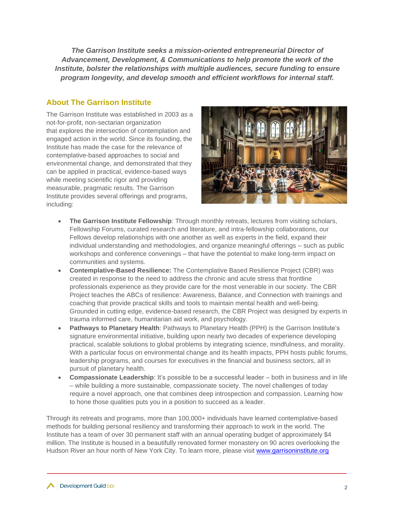*The Garrison Institute seeks a mission-oriented entrepreneurial Director of Advancement, Development, & Communications to help promote the work of the Institute, bolster the relationships with multiple audiences, secure funding to ensure program longevity, and develop smooth and efficient workflows for internal staff.* 

## **About The Garrison Institute**

The Garrison Institute was established in 2003 as a not-for-profit, non-sectarian organization that explores the intersection of contemplation and engaged action in the world. Since its founding, the Institute has made the case for the relevance of contemplative-based approaches to social and environmental change, and demonstrated that they can be applied in practical, evidence-based ways while meeting scientific rigor and providing measurable, pragmatic results. The Garrison Institute provides several offerings and programs, including:



- **The Garrison Institute Fellowship**: Through monthly retreats, lectures from visiting scholars, Fellowship Forums, curated research and literature, and intra-fellowship collaborations, our Fellows develop relationships with one another as well as experts in the field, expand their individual understanding and methodologies, and organize meaningful offerings – such as public workshops and conference convenings – that have the potential to make long-term impact on communities and systems.
- **Contemplative-Based Resilience:** The Contemplative Based Resilience Project (CBR) was created in response to the need to address the chronic and acute stress that frontline professionals experience as they provide care for the most venerable in our society. The CBR Project teaches the ABCs of resilience: Awareness, Balance, and Connection with trainings and coaching that provide practical skills and tools to maintain mental health and well-being. Grounded in cutting edge, evidence-based research, the CBR Project was designed by experts in trauma informed care, humanitarian aid work, and psychology.
- **Pathways to Planetary Health**: Pathways to Planetary Health (PPH) is the Garrison Institute's signature environmental initiative, building upon nearly two decades of experience developing practical, scalable solutions to global problems by integrating science, mindfulness, and morality. With a particular focus on environmental change and its health impacts, PPH hosts public forums, leadership programs, and courses for executives in the financial and business sectors, all in pursuit of planetary health.
- **Compassionate Leadership**: It's possible to be a successful leader both in business and in life – while building a more sustainable, compassionate society. The novel challenges of today require a novel approach, one that combines deep introspection and compassion. Learning how to hone those qualities puts you in a position to succeed as a leader.

Through its retreats and programs, more than 100,000+ individuals have learned contemplative-based methods for building personal resiliency and transforming their approach to work in the world. The Institute has a team of over 30 permanent staff with an annual operating budget of approximately \$4 million. The Institute is housed in a beautifully renovated former monastery on 90 acres overlooking the Hudson River an hour north of New York City. To learn more, please visit [www.garrisoninstitute.org](http://www.garrisoninstitute.org/)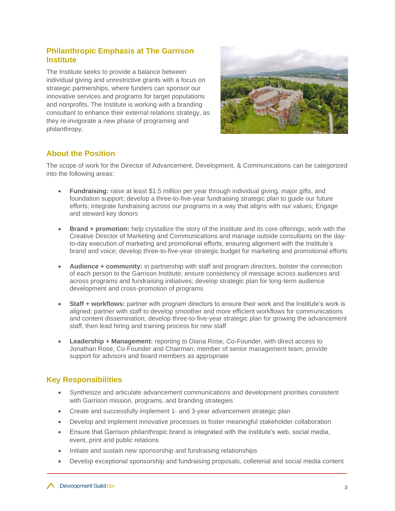### **Philanthropic Emphasis at The Garrison Institute**

The Institute seeks to provide a balance between individual giving and unrestrictive grants with a focus on strategic partnerships, where funders can sponsor our innovative services and programs for target populations and nonprofits. The Institute is working with a branding consultant to enhance their external relations strategy, as they re-invigorate a new phase of programing and philanthropy.



# **About the Position**

The scope of work for the Director of Advancement, Development, & Communications can be categorized into the following areas:

- **Fundraising:** raise at least \$1.5 million per year through individual giving, major gifts, and foundation support; develop a three-to-five-year fundraising strategic plan to guide our future efforts; integrate fundraising across our programs in a way that aligns with our values; Engage and steward key donors
- **Brand + promotion:** help crystallize the story of the Institute and its core offerings; work with the Creative Director of Marketing and Communications and manage outside consultants on the dayto-day execution of marketing and promotional efforts, ensuring alignment with the Institute's brand and voice; develop three-to-five-year strategic budget for marketing and promotional efforts
- **Audience + community:** in partnership with staff and program directors, bolster the connection of each person to the Garrison Institute; ensure consistency of message across audiences and across programs and fundraising initiatives; develop strategic plan for long-term audience development and cross-promotion of programs
- **Staff + workflows:** partner with program directors to ensure their work and the Institute's work is aligned; partner with staff to develop smoother and more efficient workflows for communications and content dissemination; develop three-to-five-year strategic plan for growing the advancement staff, then lead hiring and training process for new staff
- **Leadership + Management:** reporting to Diana Rose, Co-Founder, with direct access to Jonathan Rose, Co-Founder and Chairman; member of senior management team; provide support for advisors and board members as appropriate

# **Key Responsibilities**

- Synthesize and articulate advancement communications and development priorities consistent with Garrison mission, programs, and branding strategies
- Create and successfully implement 1- and 3-year advancement strategic plan
- Develop and implement innovative processes to foster meaningful stakeholder collaboration
- Ensure that Garrison philanthropic brand is integrated with the institute's web, social media, event, print and public relations
- Initiate and sustain new sponsorship and fundraising relationships
- Develop exceptional sponsorship and fundraising proposals, colleterial and social media content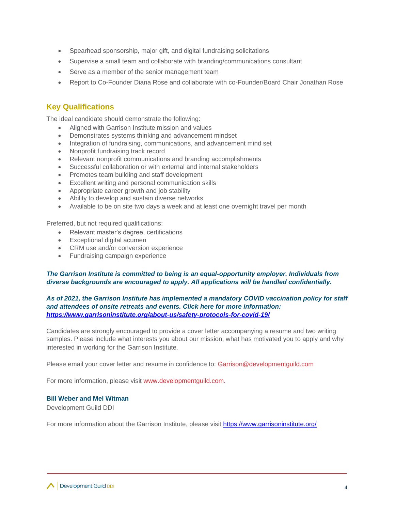- Spearhead sponsorship, major gift, and digital fundraising solicitations
- Supervise a small team and collaborate with branding/communications consultant
- Serve as a member of the senior management team
- Report to Co-Founder Diana Rose and collaborate with co-Founder/Board Chair Jonathan Rose

## **Key Qualifications**

The ideal candidate should demonstrate the following:

- Aligned with Garrison Institute mission and values
- Demonstrates systems thinking and advancement mindset
- Integration of fundraising, communications, and advancement mind set
- Nonprofit fundraising track record
- Relevant nonprofit communications and branding accomplishments
- Successful collaboration or with external and internal stakeholders
- Promotes team building and staff development
- Excellent writing and personal communication skills
- Appropriate career growth and job stability
- Ability to develop and sustain diverse networks
- Available to be on site two days a week and at least one overnight travel per month

Preferred, but not required qualifications:

- Relevant master's degree, certifications
- Exceptional digital acumen
- CRM use and/or conversion experience
- Fundraising campaign experience

#### *The Garrison Institute is committed to being is an equal-opportunity employer. Individuals from diverse backgrounds are encouraged to apply. All applications will be handled confidentially.*

#### *As of 2021, the Garrison Institute has implemented a mandatory COVID vaccination policy for staff and attendees of onsite retreats and events. Click here for more information: [https://www.garrisoninstitute.org/about-us/safety-protocols-for-covid-19/](https://nam11.safelinks.protection.outlook.com/?url=https%3A%2F%2Fwww.garrisoninstitute.org%2Fabout-us%2Fsafety-protocols-for-covid-19%2F&data=04%7C01%7Cmwitman%40developmentguild.com%7Ccaf4ff3e9b274e97e2c008d9f66188b2%7C2aa57a732c214c698a70b36ebd84cc62%7C0%7C0%7C637811721041896181%7CUnknown%7CTWFpbGZsb3d8eyJWIjoiMC4wLjAwMDAiLCJQIjoiV2luMzIiLCJBTiI6Ik1haWwiLCJXVCI6Mn0%3D%7C2000&sdata=pF9QA28q2VoUsgOlCOfrLHPGwaUeSw9g837yDINhWpc%3D&reserved=0)*

Candidates are strongly encouraged to provide a cover letter accompanying a resume and two writing samples. Please include what interests you about our mission, what has motivated you to apply and why interested in working for the Garrison Institute.

Please email your cover letter and resume in confidence to: Garrison@developmentguild.com

For more information, please visit [www.developmentguild.com.](about:blank)

#### **Bill Weber and Mel Witman**

Development Guild DDI

For more information about the Garrison Institute, please visit<https://www.garrisoninstitute.org/>